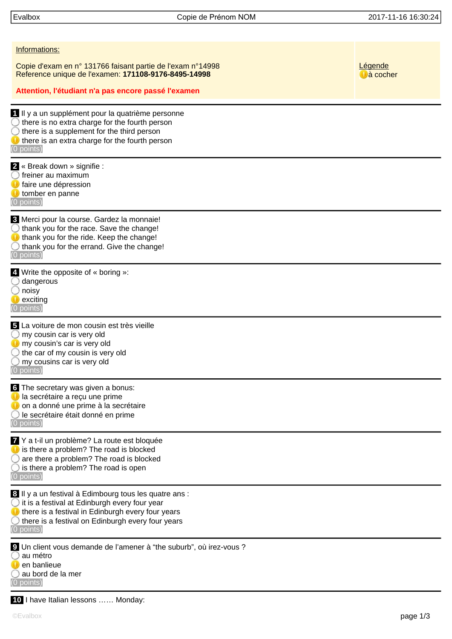Evalbox Copie de Prénom NOM 2017-11-16 16:30:24

| Informations:                                                                                                                                                                                                                                |                               |
|----------------------------------------------------------------------------------------------------------------------------------------------------------------------------------------------------------------------------------------------|-------------------------------|
| Copie d'exam en n° 131766 faisant partie de l'exam n°14998<br>Reference unique de l'examen: 171108-9176-8495-14998                                                                                                                           | Légende<br>$\bigcup$ à cocher |
| Attention, l'étudiant n'a pas encore passé l'examen                                                                                                                                                                                          |                               |
| 1 Il y a un supplément pour la quatrième personne<br>$\bigcirc$ there is no extra charge for the fourth person<br>there is a supplement for the third person<br>there is an extra charge for the fourth person<br>$(0$ points)               |                               |
| 2 « Break down » signifie :<br>freiner au maximum<br>faire une dépression<br>tomber en panne<br>(0 points)                                                                                                                                   |                               |
| 3 Merci pour la course. Gardez la monnaie!<br>$\bigcirc$ thank you for the race. Save the change!<br>thank you for the ride. Keep the change!<br>$\bigcirc$ thank you for the errand. Give the change!<br>$(0$ points)                       |                               |
| 4. Write the opposite of « boring »:<br>dangerous<br>noisy<br>exciting<br>$(0$ points)                                                                                                                                                       |                               |
| 5 La voiture de mon cousin est très vieille<br>my cousin car is very old<br>my cousin's car is very old<br>the car of my cousin is very old<br>my cousins car is very old<br>$(0$ points)                                                    |                               |
| 6 The secretary was given a bonus:<br>la secrétaire a reçu une prime<br>O on a donné une prime à la secrétaire<br>○ le secrétaire était donné en prime<br>(0 points)                                                                         |                               |
| Y a t-il un problème? La route est bloquée<br>is there a problem? The road is blocked<br>$\bigcirc$ are there a problem? The road is blocked<br>$\bigcirc$ is there a problem? The road is open<br>$(0$ points)                              |                               |
| 8 Il y a un festival à Edimbourg tous les quatre ans :<br>$\bigcirc$ it is a festival at Edinburgh every four year<br>there is a festival in Edinburgh every four years<br>there is a festival on Edinburgh every four years<br>$(0$ points) |                               |
| <b>9</b> Un client vous demande de l'amener à "the suburb", où irez-vous ?<br>au métro<br>en banlieue<br>au bord de la mer<br>(0 points)                                                                                                     |                               |

 **10** I have Italian lessons …… Monday: